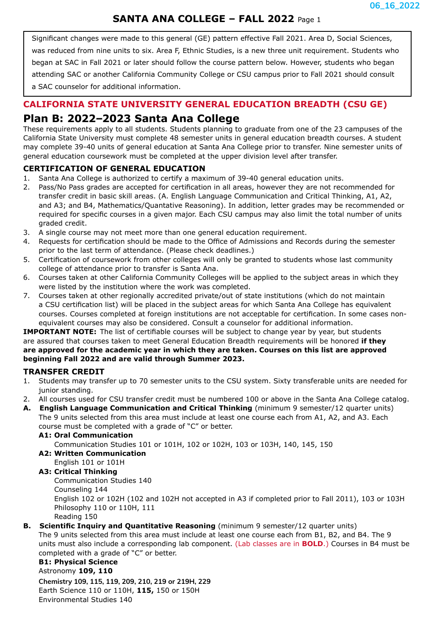# **SANTA ANA COLLEGE – FALL 2022** Page 1

Significant changes were made to this general (GE) pattern effective Fall 2021. Area D, Social Sciences, was reduced from nine units to six. Area F, Ethnic Studies, is a new three unit requirement. Students who began at SAC in Fall 2021 or later should follow the course pattern below. However, students who began attending SAC or another California Community College or CSU campus prior to Fall 2021 should consult a SAC counselor for additional information.

## **CALIFORNIA STATE UNIVERSITY GENERAL EDUCATION BREADTH (CSU GE)**

# **Plan B: 2022–2023 Santa Ana College**

These requirements apply to all students. Students planning to graduate from one of the 23 campuses of the California State University must complete 48 semester units in general education breadth courses. A student may complete 39-40 units of general education at Santa Ana College prior to transfer. Nine semester units of general education coursework must be completed at the upper division level after transfer.

## **CERTIFICATION OF GENERAL EDUCATION**

- 1. Santa Ana College is authorized to certify a maximum of 39-40 general education units.
- 2. Pass/No Pass grades are accepted for certification in all areas, however they are not recommended for transfer credit in basic skill areas. (A. English Language Communication and Critical Thinking, A1, A2, and A3; and B4, Mathematics/Quantative Reasoning). In addition, letter grades may be recommended or required for specific courses in a given major. Each CSU campus may also limit the total number of units graded credit.
- 3. A single course may not meet more than one general education requirement.
- 4. Requests for certification should be made to the Office of Admissions and Records during the semester prior to the last term of attendance. (Please check deadlines.)
- 5. Certification of coursework from other colleges will only be granted to students whose last community college of attendance prior to transfer is Santa Ana.
- 6. Courses taken at other California Community Colleges will be applied to the subject areas in which they were listed by the institution where the work was completed.
- 7. Courses taken at other regionally accredited private/out of state institutions (which do not maintain a CSU certification list) will be placed in the subject areas for which Santa Ana College has equivalent courses. Courses completed at foreign institutions are not acceptable for certification. In some cases nonequivalent courses may also be considered. Consult a counselor for additional information.

**IMPORTANT NOTE:** The list of certifiable courses will be subject to change year by year, but students are assured that courses taken to meet General Education Breadth requirements will be honored **if they are approved for the academic year in which they are taken. Courses on this list are approved beginning Fall 2022 and are valid through Summer 2023.**

### **TRANSFER CREDIT**

- 1. Students may transfer up to 70 semester units to the CSU system. Sixty transferable units are needed for junior standing.
- 2. All courses used for CSU transfer credit must be numbered 100 or above in the Santa Ana College catalog.
- **A. English Language Communication and Critical Thinking** (minimum 9 semester/12 quarter units) The 9 units selected from this area must include at least one course each from A1, A2, and A3. Each

course must be completed with a grade of "C" or better.

### **A1: Oral Communication**

Communication Studies 101 or 101H, 102 or 102H, 103 or 103H, 140, 145, 150

**A2: Written Communication** English 101 or 101H

## **A3: Critical Thinking**

Communication Studies 140 Counseling 144 English 102 or 102H (102 and 102H not accepted in A3 if completed prior to Fall 2011), 103 or 103H Philosophy 110 or 110H, 111 Reading 150

### **B. Scientific Inquiry and Quantitative Reasoning** (minimum 9 semester/12 quarter units)

The 9 units selected from this area must include at least one course each from B1, B2, and B4. The 9 units must also include a corresponding lab component. (Lab classes are in **BOLD**.) Courses in B4 must be completed with a grade of "C" or better.

#### **B1: Physical Science**

Astronomy **109, 110 Chemistry 109, 115, 119, 209, 210, 219 or 219H, 229** Earth Science 110 or 110H, **115,** 150 or 150H Environmental Studies 140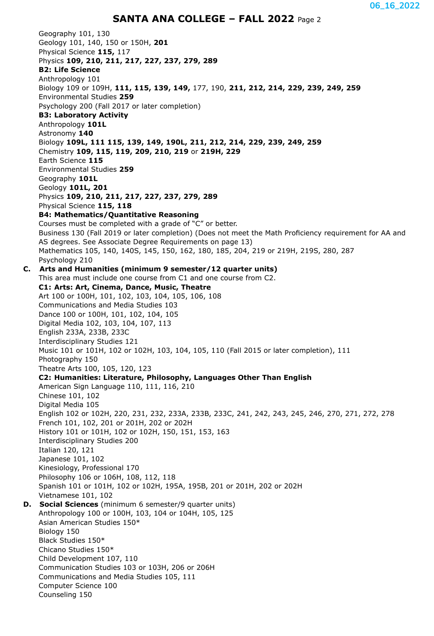# **SANTA ANA COLLEGE – FALL 2022** Page 2

Geography 101, 130 Geology 101, 140, 150 or 150H, **201** Physical Science **115,** 117 Physics **109, 210, 211, 217, 227, 237, 279, 289 B2: Life Science** Anthropology 101 Biology 109 or 109H, **111, 115, 139, 149,** 177, 190, **211, 212, 214, 229, 239, 249, 259** Environmental Studies **259** Psychology 200 (Fall 2017 or later completion) **B3: Laboratory Activity** Anthropology **101L** Astronomy **140** Biology **109L, 111 115, 139, 149, 190L, 211, 212, 214, 229, 239, 249, 259** Chemistry **109, 115, 119, 209, 210, 219** or **219H, 229** Earth Science **115** Environmental Studies **259** Geography **101L** Geology **101L, 201** Physics **109, 210, 211, 217, 227, 237, 279, 289** Physical Science **115, 118 B4: Mathematics/Quantitative Reasoning** Courses must be completed with a grade of "C" or better. Business 130 (Fall 2019 or later completion) (Does not meet the Math Proficiency requirement for AA and AS degrees. See Associate Degree Requirements on page 13) Mathematics 105, 140, 140S, 145, 150, 162, 180, 185, 204, 219 or 219H, 219S, 280, 287 Psychology 210 **C. Arts and Humanities (minimum 9 semester/12 quarter units)** This area must include one course from C1 and one course from C2. **C1: Arts: Art, Cinema, Dance, Music, Theatre** Art 100 or 100H, 101, 102, 103, 104, 105, 106, 108 Communications and Media Studies 103 Dance 100 or 100H, 101, 102, 104, 105 Digital Media 102, 103, 104, 107, 113 English 233A, 233B, 233C Interdisciplinary Studies 121 Music 101 or 101H, 102 or 102H, 103, 104, 105, 110 (Fall 2015 or later completion), 111 Photography 150 Theatre Arts 100, 105, 120, 123 **C2: Humanities: Literature, Philosophy, Languages Other Than English** American Sign Language 110, 111, 116, 210 Chinese 101, 102 Digital Media 105 English 102 or 102H, 220, 231, 232, 233A, 233B, 233C, 241, 242, 243, 245, 246, 270, 271, 272, 278 French 101, 102, 201 or 201H, 202 or 202H History 101 or 101H, 102 or 102H, 150, 151, 153, 163 Interdisciplinary Studies 200 Italian 120, 121 Japanese 101, 102 Kinesiology, Professional 170 Philosophy 106 or 106H, 108, 112, 118 Spanish 101 or 101H, 102 or 102H, 195A, 195B, 201 or 201H, 202 or 202H Vietnamese 101, 102 **D. Social Sciences** (minimum 6 semester/9 quarter units) Anthropology 100 or 100H, 103, 104 or 104H, 105, 125 Asian American Studies 150\* Biology 150 Black Studies 150\* Chicano Studies 150\* Child Development 107, 110 Communication Studies 103 or 103H, 206 or 206H Communications and Media Studies 105, 111 Computer Science 100 Counseling 150